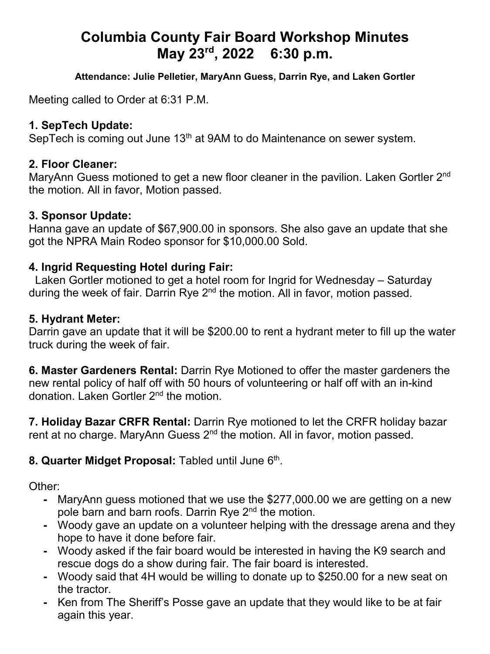# **Columbia County Fair Board Workshop Minutes May 23rd, 2022 6:30 p.m.**

**Attendance: Julie Pelletier, MaryAnn Guess, Darrin Rye, and Laken Gortler**

Meeting called to Order at 6:31 P.M.

### **1. SepTech Update:**

SepTech is coming out June 13<sup>th</sup> at 9AM to do Maintenance on sewer system.

#### **2. Floor Cleaner:**

MaryAnn Guess motioned to get a new floor cleaner in the pavilion. Laken Gortler 2<sup>nd</sup> the motion. All in favor, Motion passed.

## **3. Sponsor Update:**

Hanna gave an update of \$67,900.00 in sponsors. She also gave an update that she got the NPRA Main Rodeo sponsor for \$10,000.00 Sold.

# **4. Ingrid Requesting Hotel during Fair:**

Laken Gortler motioned to get a hotel room for Ingrid for Wednesday – Saturday during the week of fair. Darrin Rye  $2<sup>nd</sup>$  the motion. All in favor, motion passed.

#### **5. Hydrant Meter:**

Darrin gave an update that it will be \$200.00 to rent a hydrant meter to fill up the water truck during the week of fair.

**6. Master Gardeners Rental:** Darrin Rye Motioned to offer the master gardeners the new rental policy of half off with 50 hours of volunteering or half off with an in-kind donation. Laken Gortler 2nd the motion.

**7. Holiday Bazar CRFR Rental:** Darrin Rye motioned to let the CRFR holiday bazar rent at no charge. MaryAnn Guess 2<sup>nd</sup> the motion. All in favor, motion passed.

# 8. Quarter Midget Proposal: Tabled until June 6<sup>th</sup>.

Other:

- **-** MaryAnn guess motioned that we use the \$277,000.00 we are getting on a new pole barn and barn roofs. Darrin Rye 2<sup>nd</sup> the motion.
- **-** Woody gave an update on a volunteer helping with the dressage arena and they hope to have it done before fair.
- **-** Woody asked if the fair board would be interested in having the K9 search and rescue dogs do a show during fair. The fair board is interested.
- **-** Woody said that 4H would be willing to donate up to \$250.00 for a new seat on the tractor.
- **-** Ken from The Sheriff's Posse gave an update that they would like to be at fair again this year.